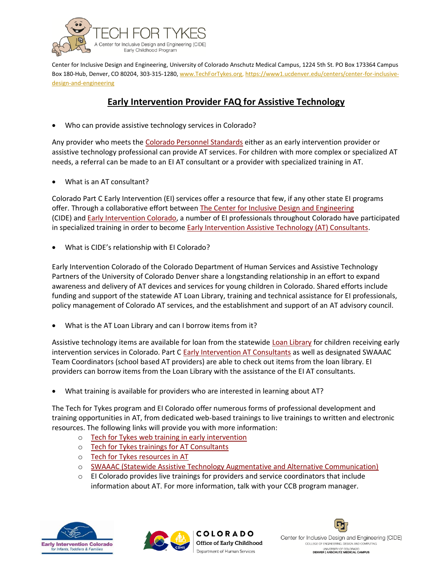

 Center for Inclusive Design and Engineering, University of Colorado Anschutz Medical Campus, 1224 5th St. PO Box 173364 Campus Box 180-Hub, Denver, CO 80204, 303-315-1280[, www.TechForTykes.org,](http://www.techfortykes.org/) https://www1.ucdenver.edu/centers/center-for-inclusive[design-and-engineering](https://www1.ucdenver.edu/centers/center-for-inclusive-design-and-engineering) 

## **Early Intervention Provider FAQ for Assistive Technology**

Who can provide assistive technology services in Colorado?

Any provider who meets the [Colorado Personnel Standards](https://dcfs.my.salesforce.com/sfc/p/#410000012srR/a/41000000Cg4I/oZfiCvVWB_VK4cB71wbKI5pdYwjRBNtFN24QOpeWNx0) either as an early intervention provider or assistive technology professional can provide AT services. For children with more complex or specialized AT needs, a referral can be made to an EI AT consultant or a provider with specialized training in AT.

• What is an AT consultant?

Colorado Part C Early Intervention (EI) services offer a resource that few, if any other state EI programs offer. Through a collaborative effort between [The Center for Inclusive Design and Engineering](www1.ucdenver.edu/centers/center-for-inclusive-design-and-engineering)  (CIDE) and [Early Intervention Colorado,](http://www.eicolorado.org/index.cfm?fuseaction=Home.Main) a number of EI professionals throughout Colorado have participated in specialized training in order to become **Early Intervention Assistive Technology (AT) Consultants.** 

• What is CIDE's relationship with EI Colorado?

 Early Intervention Colorado of the Colorado Department of Human Services and Assistive Technology Partners of the University of Colorado Denver share a longstanding relationship in an effort to expand awareness and delivery of AT devices and services for young children in Colorado. Shared efforts include funding and support of the statewide AT Loan Library, training and technical assistance for EI professionals, policy management of Colorado AT services, and the establishment and support of an AT advisory council.

What is the AT Loan Library and can I borrow items from it?

Assistive technology items are available for loan from the statewide [Loan Library](http://techfortykes.org/loanBank.html) for children receiving early intervention services in Colorado. Part C [Early Intervention AT Consultants a](http://techfortykes.org/statewideATSpecialists.html)s well as designated SWAAAC Team Coordinators (school based AT providers) are able to check out items from the loan library. EI providers can borrow items from the Loan Library with the assistance of the EI AT consultants.

• What training is available for providers who are interested in learning about AT?

The Tech for Tykes program and EI Colorado offer numerous forms of professional development and training opportunities in AT, from dedicated web-based trainings to live trainings to written and electronic resources. The following links will provide you with more information:

- o [Tech for Tykes web training in early intervention](http://techfortykes.org/webinars.html)
- o Tech for Tykes trainings for AT Consultants
- o [Tech for Tykes resources in AT](http://techfortykes.org/resources.html)
- o [SWAAAC \(Statewide Assistive Technology Augmentative and Alternative Communication\)](http://www.swaaac.com/professional-development-1)
- $\circ$  EI Colorado provides live trainings for providers and service coordinators that include information about AT. For more information, talk with your CCB program manager.





Center for Inclusive Design and Engineering (CIDE) COLLEGE OF ENGINEERING, DESIGN AND COMPUTING UNIVERSITY OF COLORADO<br>DENVER | ANSCHUTZ MEDICAL CAMPUS